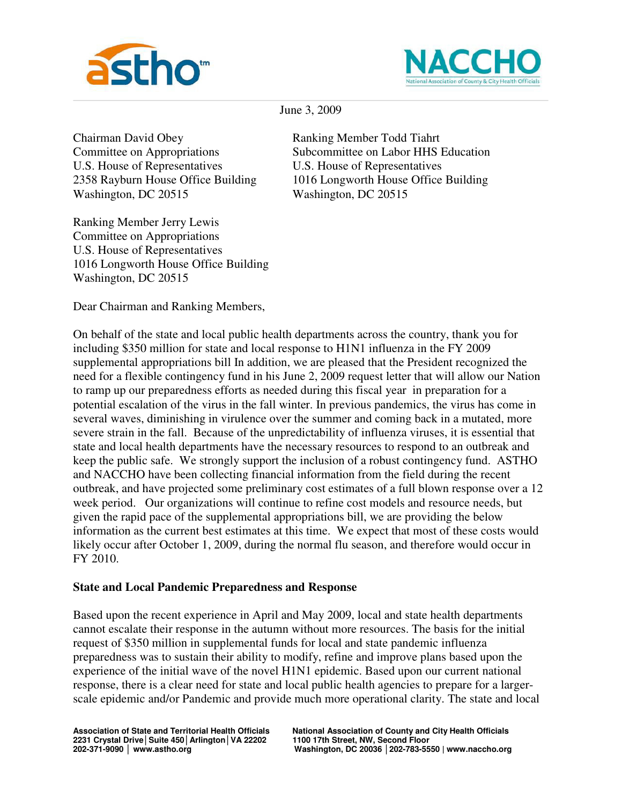



June 3, 2009

Chairman David Obey Ranking Member Todd Tiahrt U.S. House of Representatives U.S. House of Representatives Washington, DC 20515 Washington, DC 20515

Ranking Member Jerry Lewis Committee on Appropriations U.S. House of Representatives 1016 Longworth House Office Building Washington, DC 20515

Committee on Appropriations Subcommittee on Labor HHS Education 2358 Rayburn House Office Building 1016 Longworth House Office Building

Dear Chairman and Ranking Members,

On behalf of the state and local public health departments across the country, thank you for including \$350 million for state and local response to H1N1 influenza in the FY 2009 supplemental appropriations bill In addition, we are pleased that the President recognized the need for a flexible contingency fund in his June 2, 2009 request letter that will allow our Nation to ramp up our preparedness efforts as needed during this fiscal year in preparation for a potential escalation of the virus in the fall winter. In previous pandemics, the virus has come in several waves, diminishing in virulence over the summer and coming back in a mutated, more severe strain in the fall. Because of the unpredictability of influenza viruses, it is essential that state and local health departments have the necessary resources to respond to an outbreak and keep the public safe. We strongly support the inclusion of a robust contingency fund. ASTHO and NACCHO have been collecting financial information from the field during the recent outbreak, and have projected some preliminary cost estimates of a full blown response over a 12 week period. Our organizations will continue to refine cost models and resource needs, but given the rapid pace of the supplemental appropriations bill, we are providing the below information as the current best estimates at this time. We expect that most of these costs would likely occur after October 1, 2009, during the normal flu season, and therefore would occur in FY 2010.

## **State and Local Pandemic Preparedness and Response**

Based upon the recent experience in April and May 2009, local and state health departments cannot escalate their response in the autumn without more resources. The basis for the initial request of \$350 million in supplemental funds for local and state pandemic influenza preparedness was to sustain their ability to modify, refine and improve plans based upon the experience of the initial wave of the novel H1N1 epidemic. Based upon our current national response, there is a clear need for state and local public health agencies to prepare for a largerscale epidemic and/or Pandemic and provide much more operational clarity. The state and local

**2231 Crystal DriveSuite 450ArlingtonVA 22202 1100 17th Street, NW, Second Floor** 

**Association of State and Territorial Health Officials National Association of County and City Health Officials 202-371-9090 www.astho.org Washington, DC 20036 202-783-5550 | www.naccho.org**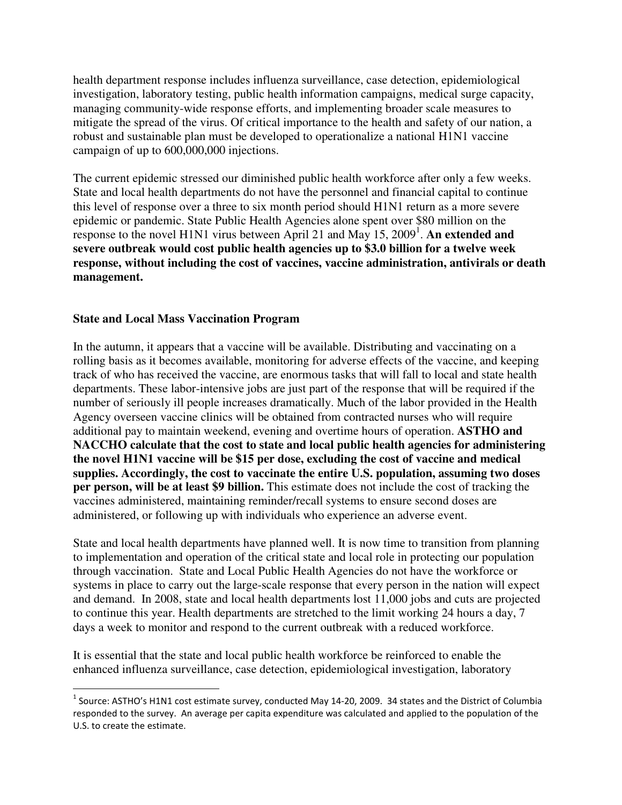health department response includes influenza surveillance, case detection, epidemiological investigation, laboratory testing, public health information campaigns, medical surge capacity, managing community-wide response efforts, and implementing broader scale measures to mitigate the spread of the virus. Of critical importance to the health and safety of our nation, a robust and sustainable plan must be developed to operationalize a national H1N1 vaccine campaign of up to 600,000,000 injections.

The current epidemic stressed our diminished public health workforce after only a few weeks. State and local health departments do not have the personnel and financial capital to continue this level of response over a three to six month period should H1N1 return as a more severe epidemic or pandemic. State Public Health Agencies alone spent over \$80 million on the response to the novel H1N1 virus between April 21 and May 15, 2009<sup>1</sup>. An extended and **severe outbreak would cost public health agencies up to \$3.0 billion for a twelve week response, without including the cost of vaccines, vaccine administration, antivirals or death management.** 

## **State and Local Mass Vaccination Program**

 $\overline{a}$ 

In the autumn, it appears that a vaccine will be available. Distributing and vaccinating on a rolling basis as it becomes available, monitoring for adverse effects of the vaccine, and keeping track of who has received the vaccine, are enormous tasks that will fall to local and state health departments. These labor-intensive jobs are just part of the response that will be required if the number of seriously ill people increases dramatically. Much of the labor provided in the Health Agency overseen vaccine clinics will be obtained from contracted nurses who will require additional pay to maintain weekend, evening and overtime hours of operation. **ASTHO and NACCHO calculate that the cost to state and local public health agencies for administering the novel H1N1 vaccine will be \$15 per dose, excluding the cost of vaccine and medical supplies. Accordingly, the cost to vaccinate the entire U.S. population, assuming two doses per person, will be at least \$9 billion.** This estimate does not include the cost of tracking the vaccines administered, maintaining reminder/recall systems to ensure second doses are administered, or following up with individuals who experience an adverse event.

State and local health departments have planned well. It is now time to transition from planning to implementation and operation of the critical state and local role in protecting our population through vaccination. State and Local Public Health Agencies do not have the workforce or systems in place to carry out the large-scale response that every person in the nation will expect and demand. In 2008, state and local health departments lost 11,000 jobs and cuts are projected to continue this year. Health departments are stretched to the limit working 24 hours a day, 7 days a week to monitor and respond to the current outbreak with a reduced workforce.

It is essential that the state and local public health workforce be reinforced to enable the enhanced influenza surveillance, case detection, epidemiological investigation, laboratory

 $^1$  Source: ASTHO's H1N1 cost estimate survey, conducted May 14-20, 2009. 34 states and the District of Columbia responded to the survey. An average per capita expenditure was calculated and applied to the population of the U.S. to create the estimate